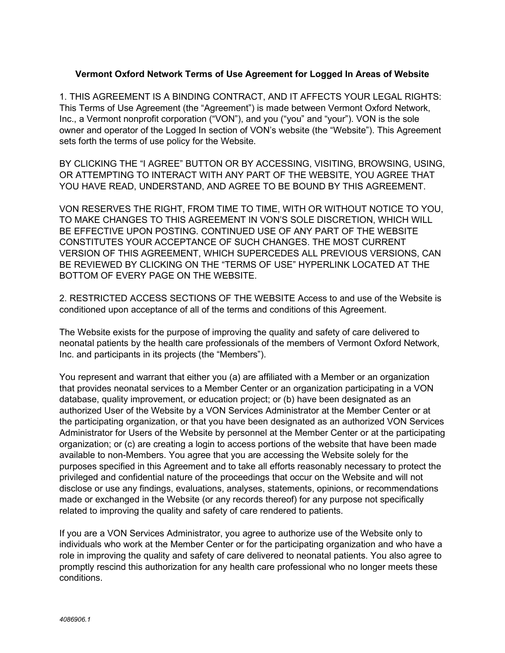# **Vermont Oxford Network Terms of Use Agreement for Logged In Areas of Website**

1. THIS AGREEMENT IS A BINDING CONTRACT, AND IT AFFECTS YOUR LEGAL RIGHTS: This Terms of Use Agreement (the "Agreement") is made between Vermont Oxford Network, Inc., a Vermont nonprofit corporation ("VON"), and you ("you" and "your"). VON is the sole owner and operator of the Logged In section of VON's website (the "Website"). This Agreement sets forth the terms of use policy for the Website.

BY CLICKING THE "I AGREE" BUTTON OR BY ACCESSING, VISITING, BROWSING, USING, OR ATTEMPTING TO INTERACT WITH ANY PART OF THE WEBSITE, YOU AGREE THAT YOU HAVE READ, UNDERSTAND, AND AGREE TO BE BOUND BY THIS AGREEMENT.

VON RESERVES THE RIGHT, FROM TIME TO TIME, WITH OR WITHOUT NOTICE TO YOU, TO MAKE CHANGES TO THIS AGREEMENT IN VON'S SOLE DISCRETION, WHICH WILL BE EFFECTIVE UPON POSTING. CONTINUED USE OF ANY PART OF THE WEBSITE CONSTITUTES YOUR ACCEPTANCE OF SUCH CHANGES. THE MOST CURRENT VERSION OF THIS AGREEMENT, WHICH SUPERCEDES ALL PREVIOUS VERSIONS, CAN BE REVIEWED BY CLICKING ON THE "TERMS OF USE" HYPERLINK LOCATED AT THE BOTTOM OF EVERY PAGE ON THE WEBSITE.

2. RESTRICTED ACCESS SECTIONS OF THE WEBSITE Access to and use of the Website is conditioned upon acceptance of all of the terms and conditions of this Agreement.

The Website exists for the purpose of improving the quality and safety of care delivered to neonatal patients by the health care professionals of the members of Vermont Oxford Network, Inc. and participants in its projects (the "Members").

You represent and warrant that either you (a) are affiliated with a Member or an organization that provides neonatal services to a Member Center or an organization participating in a VON database, quality improvement, or education project; or (b) have been designated as an authorized User of the Website by a VON Services Administrator at the Member Center or at the participating organization, or that you have been designated as an authorized VON Services Administrator for Users of the Website by personnel at the Member Center or at the participating organization; or (c) are creating a login to access portions of the website that have been made available to non-Members. You agree that you are accessing the Website solely for the purposes specified in this Agreement and to take all efforts reasonably necessary to protect the privileged and confidential nature of the proceedings that occur on the Website and will not disclose or use any findings, evaluations, analyses, statements, opinions, or recommendations made or exchanged in the Website (or any records thereof) for any purpose not specifically related to improving the quality and safety of care rendered to patients.

If you are a VON Services Administrator, you agree to authorize use of the Website only to individuals who work at the Member Center or for the participating organization and who have a role in improving the quality and safety of care delivered to neonatal patients. You also agree to promptly rescind this authorization for any health care professional who no longer meets these conditions.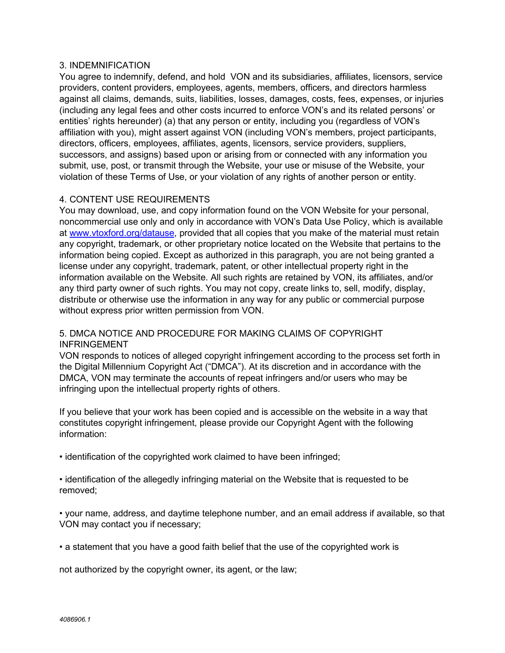### 3. INDEMNIFICATION

You agree to indemnify, defend, and hold VON and its subsidiaries, affiliates, licensors, service providers, content providers, employees, agents, members, officers, and directors harmless against all claims, demands, suits, liabilities, losses, damages, costs, fees, expenses, or injuries (including any legal fees and other costs incurred to enforce VON's and its related persons' or entities' rights hereunder) (a) that any person or entity, including you (regardless of VON's affiliation with you), might assert against VON (including VON's members, project participants, directors, officers, employees, affiliates, agents, licensors, service providers, suppliers, successors, and assigns) based upon or arising from or connected with any information you submit, use, post, or transmit through the Website, your use or misuse of the Website, your violation of these Terms of Use, or your violation of any rights of another person or entity.

# 4. CONTENT USE REQUIREMENTS

You may download, use, and copy information found on the VON Website for your personal, noncommercial use only and only in accordance with VON's Data Use Policy, which is available at [www.vtoxford.org/datause,](http://www.vtoxford.org/datause) provided that all copies that you make of the material must retain any copyright, trademark, or other proprietary notice located on the Website that pertains to the information being copied. Except as authorized in this paragraph, you are not being granted a license under any copyright, trademark, patent, or other intellectual property right in the information available on the Website. All such rights are retained by VON, its affiliates, and/or any third party owner of such rights. You may not copy, create links to, sell, modify, display, distribute or otherwise use the information in any way for any public or commercial purpose without express prior written permission from VON.

# 5. DMCA NOTICE AND PROCEDURE FOR MAKING CLAIMS OF COPYRIGHT INFRINGEMENT

VON responds to notices of alleged copyright infringement according to the process set forth in the Digital Millennium Copyright Act ("DMCA"). At its discretion and in accordance with the DMCA, VON may terminate the accounts of repeat infringers and/or users who may be infringing upon the intellectual property rights of others.

If you believe that your work has been copied and is accessible on the website in a way that constitutes copyright infringement, please provide our Copyright Agent with the following information:

• identification of the copyrighted work claimed to have been infringed;

• identification of the allegedly infringing material on the Website that is requested to be removed;

• your name, address, and daytime telephone number, and an email address if available, so that VON may contact you if necessary;

• a statement that you have a good faith belief that the use of the copyrighted work is

not authorized by the copyright owner, its agent, or the law;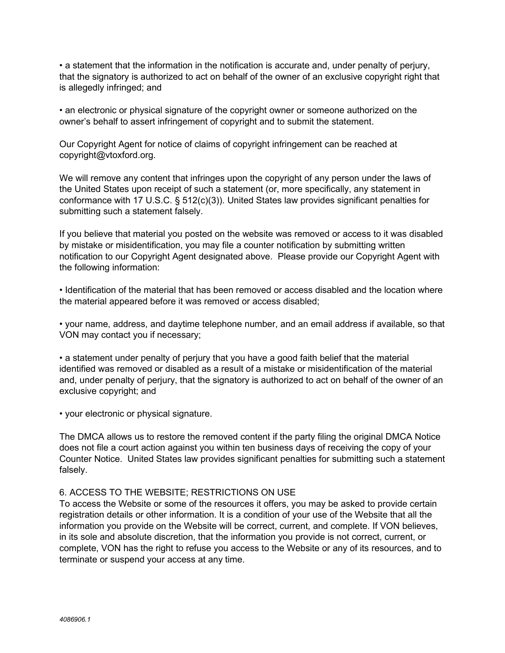• a statement that the information in the notification is accurate and, under penalty of perjury, that the signatory is authorized to act on behalf of the owner of an exclusive copyright right that is allegedly infringed; and

• an electronic or physical signature of the copyright owner or someone authorized on the owner's behalf to assert infringement of copyright and to submit the statement.

Our Copyright Agent for notice of claims of copyright infringement can be reached at copyright@vtoxford.org.

We will remove any content that infringes upon the copyright of any person under the laws of the United States upon receipt of such a statement (or, more specifically, any statement in conformance with 17 U.S.C. § 512(c)(3)). United States law provides significant penalties for submitting such a statement falsely.

If you believe that material you posted on the website was removed or access to it was disabled by mistake or misidentification, you may file a counter notification by submitting written notification to our Copyright Agent designated above. Please provide our Copyright Agent with the following information:

• Identification of the material that has been removed or access disabled and the location where the material appeared before it was removed or access disabled;

• your name, address, and daytime telephone number, and an email address if available, so that VON may contact you if necessary;

• a statement under penalty of perjury that you have a good faith belief that the material identified was removed or disabled as a result of a mistake or misidentification of the material and, under penalty of perjury, that the signatory is authorized to act on behalf of the owner of an exclusive copyright; and

• your electronic or physical signature.

The DMCA allows us to restore the removed content if the party filing the original DMCA Notice does not file a court action against you within ten business days of receiving the copy of your Counter Notice. United States law provides significant penalties for submitting such a statement falsely.

### 6. ACCESS TO THE WEBSITE; RESTRICTIONS ON USE

To access the Website or some of the resources it offers, you may be asked to provide certain registration details or other information. It is a condition of your use of the Website that all the information you provide on the Website will be correct, current, and complete. If VON believes, in its sole and absolute discretion, that the information you provide is not correct, current, or complete, VON has the right to refuse you access to the Website or any of its resources, and to terminate or suspend your access at any time.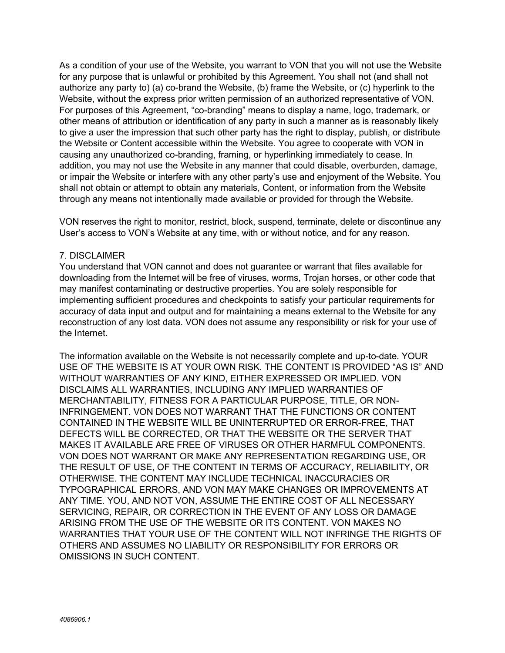As a condition of your use of the Website, you warrant to VON that you will not use the Website for any purpose that is unlawful or prohibited by this Agreement. You shall not (and shall not authorize any party to) (a) co-brand the Website, (b) frame the Website, or (c) hyperlink to the Website, without the express prior written permission of an authorized representative of VON. For purposes of this Agreement, "co-branding" means to display a name, logo, trademark, or other means of attribution or identification of any party in such a manner as is reasonably likely to give a user the impression that such other party has the right to display, publish, or distribute the Website or Content accessible within the Website. You agree to cooperate with VON in causing any unauthorized co-branding, framing, or hyperlinking immediately to cease. In addition, you may not use the Website in any manner that could disable, overburden, damage, or impair the Website or interfere with any other party's use and enjoyment of the Website. You shall not obtain or attempt to obtain any materials, Content, or information from the Website through any means not intentionally made available or provided for through the Website.

VON reserves the right to monitor, restrict, block, suspend, terminate, delete or discontinue any User's access to VON's Website at any time, with or without notice, and for any reason.

#### 7. DISCLAIMER

You understand that VON cannot and does not guarantee or warrant that files available for downloading from the Internet will be free of viruses, worms, Trojan horses, or other code that may manifest contaminating or destructive properties. You are solely responsible for implementing sufficient procedures and checkpoints to satisfy your particular requirements for accuracy of data input and output and for maintaining a means external to the Website for any reconstruction of any lost data. VON does not assume any responsibility or risk for your use of the Internet.

The information available on the Website is not necessarily complete and up-to-date. YOUR USE OF THE WEBSITE IS AT YOUR OWN RISK. THE CONTENT IS PROVIDED "AS IS" AND WITHOUT WARRANTIES OF ANY KIND, EITHER EXPRESSED OR IMPLIED. VON DISCLAIMS ALL WARRANTIES, INCLUDING ANY IMPLIED WARRANTIES OF MERCHANTABILITY, FITNESS FOR A PARTICULAR PURPOSE, TITLE, OR NON-INFRINGEMENT. VON DOES NOT WARRANT THAT THE FUNCTIONS OR CONTENT CONTAINED IN THE WEBSITE WILL BE UNINTERRUPTED OR ERROR-FREE, THAT DEFECTS WILL BE CORRECTED, OR THAT THE WEBSITE OR THE SERVER THAT MAKES IT AVAILABLE ARE FREE OF VIRUSES OR OTHER HARMFUL COMPONENTS. VON DOES NOT WARRANT OR MAKE ANY REPRESENTATION REGARDING USE, OR THE RESULT OF USE, OF THE CONTENT IN TERMS OF ACCURACY, RELIABILITY, OR OTHERWISE. THE CONTENT MAY INCLUDE TECHNICAL INACCURACIES OR TYPOGRAPHICAL ERRORS, AND VON MAY MAKE CHANGES OR IMPROVEMENTS AT ANY TIME. YOU, AND NOT VON, ASSUME THE ENTIRE COST OF ALL NECESSARY SERVICING, REPAIR, OR CORRECTION IN THE EVENT OF ANY LOSS OR DAMAGE ARISING FROM THE USE OF THE WEBSITE OR ITS CONTENT. VON MAKES NO WARRANTIES THAT YOUR USE OF THE CONTENT WILL NOT INFRINGE THE RIGHTS OF OTHERS AND ASSUMES NO LIABILITY OR RESPONSIBILITY FOR ERRORS OR OMISSIONS IN SUCH CONTENT.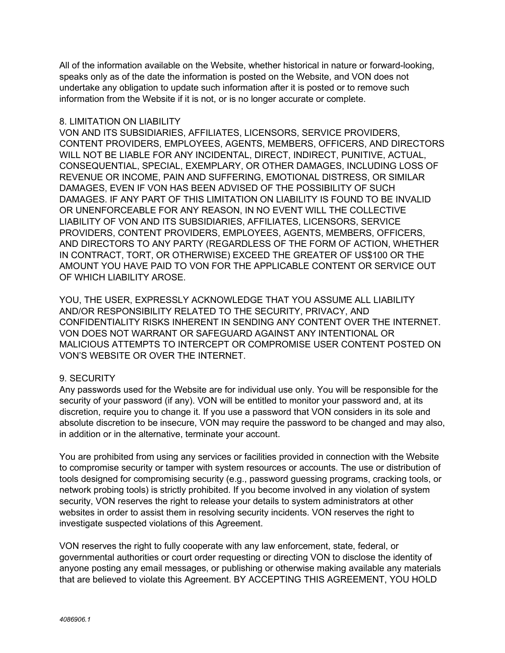All of the information available on the Website, whether historical in nature or forward-looking, speaks only as of the date the information is posted on the Website, and VON does not undertake any obligation to update such information after it is posted or to remove such information from the Website if it is not, or is no longer accurate or complete.

### 8. LIMITATION ON LIABILITY

VON AND ITS SUBSIDIARIES, AFFILIATES, LICENSORS, SERVICE PROVIDERS, CONTENT PROVIDERS, EMPLOYEES, AGENTS, MEMBERS, OFFICERS, AND DIRECTORS WILL NOT BE LIABLE FOR ANY INCIDENTAL, DIRECT, INDIRECT, PUNITIVE, ACTUAL, CONSEQUENTIAL, SPECIAL, EXEMPLARY, OR OTHER DAMAGES, INCLUDING LOSS OF REVENUE OR INCOME, PAIN AND SUFFERING, EMOTIONAL DISTRESS, OR SIMILAR DAMAGES, EVEN IF VON HAS BEEN ADVISED OF THE POSSIBILITY OF SUCH DAMAGES. IF ANY PART OF THIS LIMITATION ON LIABILITY IS FOUND TO BE INVALID OR UNENFORCEABLE FOR ANY REASON, IN NO EVENT WILL THE COLLECTIVE LIABILITY OF VON AND ITS SUBSIDIARIES, AFFILIATES, LICENSORS, SERVICE PROVIDERS, CONTENT PROVIDERS, EMPLOYEES, AGENTS, MEMBERS, OFFICERS, AND DIRECTORS TO ANY PARTY (REGARDLESS OF THE FORM OF ACTION, WHETHER IN CONTRACT, TORT, OR OTHERWISE) EXCEED THE GREATER OF US\$100 OR THE AMOUNT YOU HAVE PAID TO VON FOR THE APPLICABLE CONTENT OR SERVICE OUT OF WHICH LIABILITY AROSE.

YOU, THE USER, EXPRESSLY ACKNOWLEDGE THAT YOU ASSUME ALL LIABILITY AND/OR RESPONSIBILITY RELATED TO THE SECURITY, PRIVACY, AND CONFIDENTIALITY RISKS INHERENT IN SENDING ANY CONTENT OVER THE INTERNET. VON DOES NOT WARRANT OR SAFEGUARD AGAINST ANY INTENTIONAL OR MALICIOUS ATTEMPTS TO INTERCEPT OR COMPROMISE USER CONTENT POSTED ON VON'S WEBSITE OR OVER THE INTERNET.

# 9. SECURITY

Any passwords used for the Website are for individual use only. You will be responsible for the security of your password (if any). VON will be entitled to monitor your password and, at its discretion, require you to change it. If you use a password that VON considers in its sole and absolute discretion to be insecure, VON may require the password to be changed and may also, in addition or in the alternative, terminate your account.

You are prohibited from using any services or facilities provided in connection with the Website to compromise security or tamper with system resources or accounts. The use or distribution of tools designed for compromising security (e.g., password guessing programs, cracking tools, or network probing tools) is strictly prohibited. If you become involved in any violation of system security, VON reserves the right to release your details to system administrators at other websites in order to assist them in resolving security incidents. VON reserves the right to investigate suspected violations of this Agreement.

VON reserves the right to fully cooperate with any law enforcement, state, federal, or governmental authorities or court order requesting or directing VON to disclose the identity of anyone posting any email messages, or publishing or otherwise making available any materials that are believed to violate this Agreement. BY ACCEPTING THIS AGREEMENT, YOU HOLD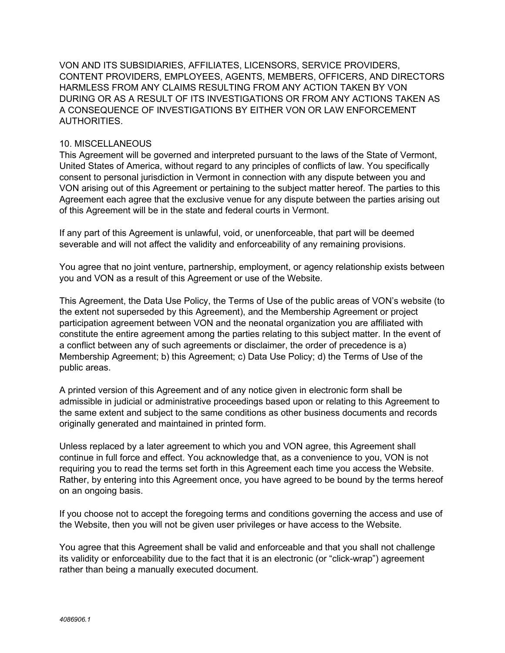VON AND ITS SUBSIDIARIES, AFFILIATES, LICENSORS, SERVICE PROVIDERS, CONTENT PROVIDERS, EMPLOYEES, AGENTS, MEMBERS, OFFICERS, AND DIRECTORS HARMLESS FROM ANY CLAIMS RESULTING FROM ANY ACTION TAKEN BY VON DURING OR AS A RESULT OF ITS INVESTIGATIONS OR FROM ANY ACTIONS TAKEN AS A CONSEQUENCE OF INVESTIGATIONS BY EITHER VON OR LAW ENFORCEMENT AUTHORITIES.

### 10. MISCELLANEOUS

This Agreement will be governed and interpreted pursuant to the laws of the State of Vermont, United States of America, without regard to any principles of conflicts of law. You specifically consent to personal jurisdiction in Vermont in connection with any dispute between you and VON arising out of this Agreement or pertaining to the subject matter hereof. The parties to this Agreement each agree that the exclusive venue for any dispute between the parties arising out of this Agreement will be in the state and federal courts in Vermont.

If any part of this Agreement is unlawful, void, or unenforceable, that part will be deemed severable and will not affect the validity and enforceability of any remaining provisions.

You agree that no joint venture, partnership, employment, or agency relationship exists between you and VON as a result of this Agreement or use of the Website.

This Agreement, the Data Use Policy, the Terms of Use of the public areas of VON's website (to the extent not superseded by this Agreement), and the Membership Agreement or project participation agreement between VON and the neonatal organization you are affiliated with constitute the entire agreement among the parties relating to this subject matter. In the event of a conflict between any of such agreements or disclaimer, the order of precedence is a) Membership Agreement; b) this Agreement; c) Data Use Policy; d) the Terms of Use of the public areas.

A printed version of this Agreement and of any notice given in electronic form shall be admissible in judicial or administrative proceedings based upon or relating to this Agreement to the same extent and subject to the same conditions as other business documents and records originally generated and maintained in printed form.

Unless replaced by a later agreement to which you and VON agree, this Agreement shall continue in full force and effect. You acknowledge that, as a convenience to you, VON is not requiring you to read the terms set forth in this Agreement each time you access the Website. Rather, by entering into this Agreement once, you have agreed to be bound by the terms hereof on an ongoing basis.

If you choose not to accept the foregoing terms and conditions governing the access and use of the Website, then you will not be given user privileges or have access to the Website.

You agree that this Agreement shall be valid and enforceable and that you shall not challenge its validity or enforceability due to the fact that it is an electronic (or "click-wrap") agreement rather than being a manually executed document.